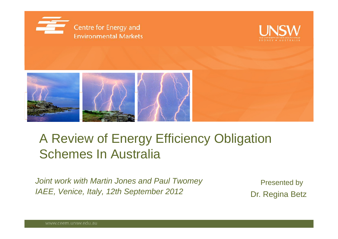





#### A Review of Energy Efficiency Obligation Schemes In Australia

*Joint work with Martin Jones and Paul Twomey* Presented by *IAEE, Venice, Italy, 12th September 2012* Dr. Regina Betz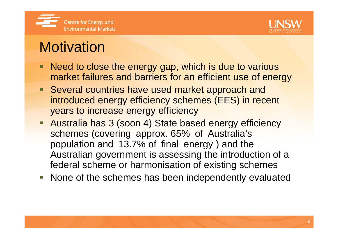



### **Motivation**

- Need to close the energy gap, which is due to various market failures and barriers for an efficient use of energy
- **Several countries have used market approach and** introduced energy efficiency schemes (EES) in recent years to increase energy efficiency
- **Australia has 3 (soon 4) State based energy efficiency** schemes (covering approx. 65% of Australia's population and 13.7% of final energy ) and the Australian government is assessing the introduction of a federal scheme or harmonisation of existing schemes
- **None of the schemes has been independently evaluated**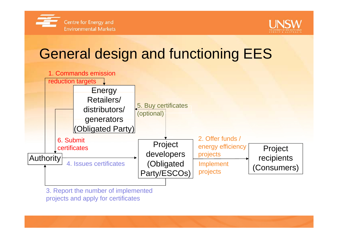



## General design and functioning EES



3. Report the number of implemented projects and apply for certificates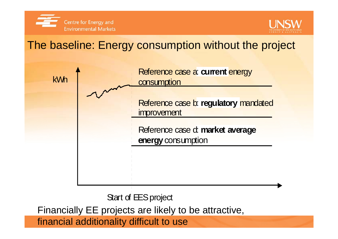



#### The baseline: Energy consumption without the project



Start of EES project

Financially EE projects are likely to be attractive,

financial additionality difficult to use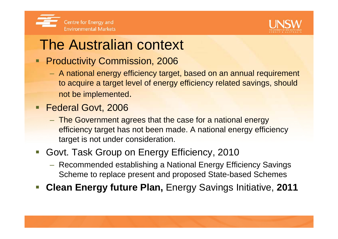



#### The Australian context

- **Productivity Commission, 2006** 
	- A national energy efficiency target, based on an annual requirement to acquire a target level of energy efficiency related savings, should not be implemented.
- **Federal Govt, 2006** 
	- The Government agrees that the case for <sup>a</sup> national energy efficiency target has not been made. A national energy efficiency target is not under consideration.
- p. Govt. Task Group on Energy Efficiency, 2010
	- Recommended establishing a National Energy Efficiency Savings Scheme to replace present and proposed State-based Schemes
- p. **Clean Energy future Plan,** Energy Savings Initiative, **2011**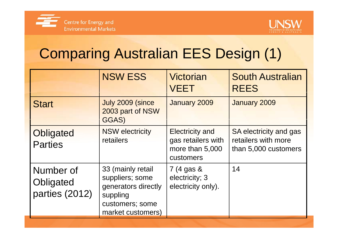



## Comparing Australian EES Design (1)

|                                          | <b>NSW ESS</b>                                                                                                  | Victorian<br><b>VEET</b>                                                     | <b>South Australian</b><br><b>REES</b>                                |
|------------------------------------------|-----------------------------------------------------------------------------------------------------------------|------------------------------------------------------------------------------|-----------------------------------------------------------------------|
| <b>Start</b>                             | July 2009 (since<br>2003 part of NSW<br>GGAS)                                                                   | January 2009                                                                 | January 2009                                                          |
| <b>Obligated</b><br><b>Parties</b>       | <b>NSW electricity</b><br>retailers                                                                             | <b>Electricity and</b><br>gas retailers with<br>more than 5,000<br>customers | SA electricity and gas<br>retailers with more<br>than 5,000 customers |
| Number of<br>Obligated<br>parties (2012) | 33 (mainly retail<br>suppliers; some<br>generators directly<br>suppling<br>customers; some<br>market customers) | $7(4)$ gas &<br>electricity; 3<br>electricity only).                         | 14                                                                    |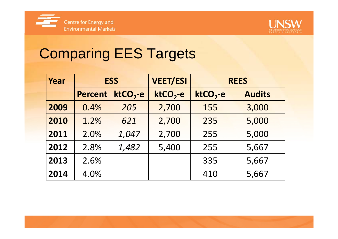



# Comparing EES Targets

| Year | <b>ESS</b>     |           | <b>VEET/ESI</b> |           | <b>REES</b>   |  |  |
|------|----------------|-----------|-----------------|-----------|---------------|--|--|
|      | <b>Percent</b> | $ktCO2-e$ | $ktCO2-e$       | $ktCO2-e$ | <b>Audits</b> |  |  |
| 2009 | 0.4%           | 205       | 2,700           | 155       | 3,000         |  |  |
| 2010 | 1.2%           | 621       | 2,700           | 235       | 5,000         |  |  |
| 2011 | 2.0%           | 1,047     | 2,700           | 255       | 5,000         |  |  |
| 2012 | 2.8%           | 1,482     | 5,400           | 255       | 5,667         |  |  |
| 2013 | 2.6%           |           |                 | 335       | 5,667         |  |  |
| 2014 | 4.0%           |           |                 | 410       | 5,667         |  |  |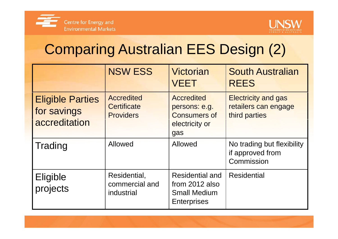



## Comparing Australian EES Design (2)

|                                                         | <b>NSW ESS</b>                                              | <b>Victorian</b><br><b>VEET</b>                                                       | <b>South Australian</b><br><b>REES</b>                              |
|---------------------------------------------------------|-------------------------------------------------------------|---------------------------------------------------------------------------------------|---------------------------------------------------------------------|
| <b>Eligible Parties</b><br>for savings<br>accreditation | <b>Accredited</b><br><b>Certificate</b><br><b>Providers</b> | <b>Accredited</b><br>persons: e.g.<br><b>Consumers of</b><br>electricity or<br>gas    | <b>Electricity and gas</b><br>retailers can engage<br>third parties |
| <b>Trading</b>                                          | <b>Allowed</b>                                              | <b>Allowed</b>                                                                        | No trading but flexibility<br>if approved from<br>Commission        |
| Eligible<br>projects                                    | Residential,<br>commercial and<br>industrial                | <b>Residential and</b><br>from 2012 also<br><b>Small Medium</b><br><b>Enterprises</b> | <b>Residential</b>                                                  |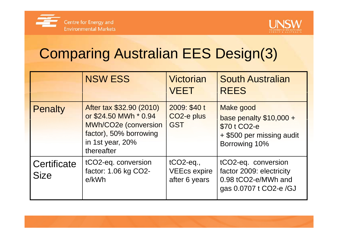



# Comparing Australian EES Design(3)

|                            | <b>NSW ESS</b>                                                                                                                        | <b>Victorian</b><br><b>VEET</b>                       | <b>South Australian</b><br><b>REES</b>                                                                     |
|----------------------------|---------------------------------------------------------------------------------------------------------------------------------------|-------------------------------------------------------|------------------------------------------------------------------------------------------------------------|
| <b>Penalty</b>             | After tax \$32.90 (2010)<br>or \$24.50 MWh * 0.94<br>MWh/CO2e (conversion<br>factor), 50% borrowing<br>in 1st year, 20%<br>thereafter | 2009: \$40 t<br>CO <sub>2</sub> -e plus<br><b>GST</b> | <b>Make good</b><br>base penalty $$10,000 +$<br>\$70 t CO2-e<br>+ \$500 per missing audit<br>Borrowing 10% |
| Certificate<br><b>Size</b> | tCO2-eq. conversion<br>factor: 1.06 kg CO2-<br>e/kWh                                                                                  | $tCO2$ -eq.,<br><b>VEEcs expire</b><br>after 6 years  | tCO2-eq. conversion<br>factor 2009: electricity<br>0.98 tCO2-e/MWh and<br>gas 0.0707 t CO2-e /GJ           |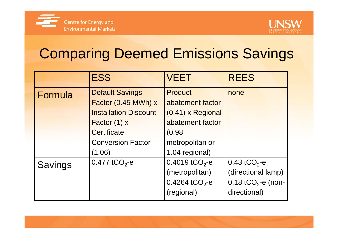



## Comparing Deemed Emissions Savings

|                | <b>ESS</b>                   | <b>VEET</b>                | <b>REES</b>                    |
|----------------|------------------------------|----------------------------|--------------------------------|
| Formula        | <b>Default Savings</b>       | <b>Product</b>             | none                           |
|                | Factor (0.45 MWh) x          | abatement factor           |                                |
|                | <b>Installation Discount</b> | (0.41) x Regional          |                                |
|                | Factor $(1)$ x               | abatement factor           |                                |
|                | Certificate                  | (0.98)                     |                                |
|                | <b>Conversion Factor</b>     | metropolitan or            |                                |
|                | (1.06)                       | 1.04 regional)             |                                |
| <b>Savings</b> | 0.477 tCO <sub>2</sub> -e    | 0.4019 tCO <sub>2</sub> -e | 0.43 tCO <sub>2</sub> -e       |
|                |                              | (metropolitan)             | (directional lamp)             |
|                |                              | 0.4264 tCO <sub>2</sub> -e | 0.18 tCO <sub>2</sub> -e (non- |
|                |                              | (regional)                 | directional)                   |
|                |                              |                            |                                |

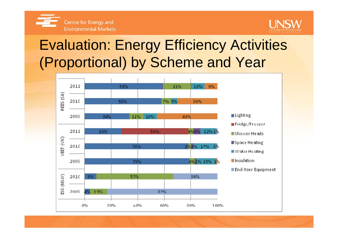



## Evaluation: Energy Efficiency Activities (Proportional) by Scheme and Year

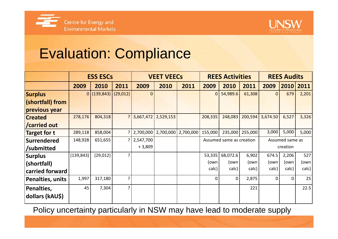



#### Evaluation: Compliance

|                     | <b>ESS ESCs</b> |                      | <b>VEET VEECS</b> |                | <b>REES Activities</b> |                       |                                             | <b>REES Audits</b> |         |                |          |       |
|---------------------|-----------------|----------------------|-------------------|----------------|------------------------|-----------------------|---------------------------------------------|--------------------|---------|----------------|----------|-------|
|                     | 2009            | 2010                 | 2011              | 2009           | 2010                   | 2011                  | 2009                                        | 2010               | 2011    | 2009           | 2010     | 2011  |
| <b>Surplus</b>      |                 | 0 (139,843) (29,012) |                   | $\overline{0}$ |                        |                       | $\mathbf{0}$                                | 54,989.6           | 61,308  | $\overline{0}$ | 679      | 2,201 |
| (shortfall) from    |                 |                      |                   |                |                        |                       |                                             |                    |         |                |          |       |
| previous year       |                 |                      |                   |                |                        |                       |                                             |                    |         |                |          |       |
| <b>Created</b>      | 278,176         | 804,318              |                   |                | 3,667,472 2,529,153    |                       | 208,335                                     | 248,083            | 200,594 | 3,674.50       | 6,527    | 3,326 |
| <b>Carried out</b>  |                 |                      |                   |                |                        |                       |                                             |                    |         |                |          |       |
| <b>Target for t</b> | 289,118         | 858,004              |                   | 2,700,000      |                        | 2,700,000   2,700,000 | 155,000                                     | 235,000            | 255,000 | 3,000          | 5,000    | 5,000 |
| <b>Surrendered</b>  | 148,928         | 651,655              |                   | 2,547,700      |                        |                       | Assumed same as creation<br>Assumed same as |                    |         |                |          |       |
| /submitted          |                 |                      |                   | $+3,809$       |                        |                       |                                             |                    |         |                | creation |       |
| Surplus             | (139, 843)      | (29, 012)            | 5.                |                |                        |                       | 53,335                                      | 68,072.6           | 6,902   | 674.5          | 2,206    | 527   |
| (shortfall)         |                 |                      |                   |                |                        |                       | (own                                        | (own               | (own    | (own           | (own     | (own  |
| carried forward     |                 |                      |                   |                |                        |                       | calc)                                       | calc)              | calc)   | calc)          | calc)    | calc) |
| Penalties, units    | 1,997           | 317,180              | ς                 |                |                        |                       | $\Omega$                                    | 0                  | 2,875   | $\Omega$       | $\Omega$ | 25    |
| Penalties,          | 45              | 7,304                | P.                |                |                        |                       |                                             |                    | 221     |                |          | 22.5  |
| dollars (kAU\$)     |                 |                      |                   |                |                        |                       |                                             |                    |         |                |          |       |

Policy uncertainty particularly in NSW may have lead to moderate supply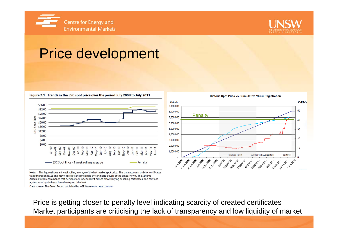



**S/VEECS** 

#### Price development

Figure 7.1 Trends in the ESC spot price over the period July 2009 to July 2011



50 8.000.000 **Penalty** 7,000,000 40 6.000.000 5,000,000 30  $400000$  $20$ 3,000,000 2,000,000 10 1,000,000 -Regulated Target Cumulative VEECs registered **Spot Price** 1210/2019 1/03/2010 2009 3/2009 3/08 2009 12/10 1010 1210 12010 21/1010 5/01/2009 12099 23/2009 2010 2010 01/12 010 2121010 010 212011 21/1/2011 3011/12012

Note: This figure shows a 4 week rolling average of the last market spot price. This data accounts only for certificates traded through NGES and may not reflect the price paid by certificate buyers at the times shown. The Scheme Administrator recommends that persons seek independent advice before buying or selling certificates, and cautions against making decisions based solely on this chart.

Data source: The Green Room, published by NGES (see www.nges.com.au).

Price is getting closer to penalty level indicating scarcity of created certificates Market participants are criticising the lack of transparency and low liquidity of market

**VEECs** 

9.000.000

**Historic Spot Price vs. Cumulative VEEC Registration**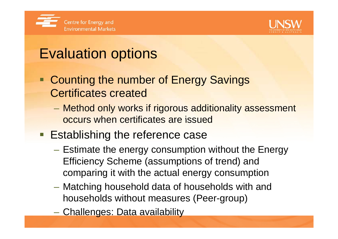



### Evaluation options

- Counting the number of Energy Savings **Certificates created** 
	- Method only works if rigorous additionality assessment occurs when certificates are issued issued
- **Establishing the reference case** 
	- Estimate the energy consumption without the Energy Efficiency Scheme (assumptions of trend) and comparing it with the actual energy consumption
	- – Matching household data of households with and households without measures (Peer-group)
	- Challenges: Data availability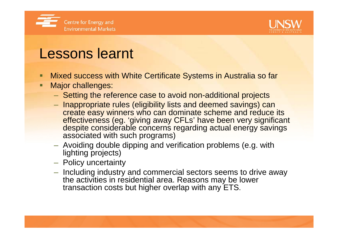



#### Lessons learnt

- Mixed success with White Certificate Systems in Australia so far
- Ξ Major challenges:
	- $-$  Setting the reference case to avoid non-additional projects
	- Inappropriate rules (eligibility lists and deemed savings) can create easy winners who can dominate scheme and reduce its effectiveness (eg. 'giving away CFLs' have been very significant despite considerable concerns regarding actual energy savings associated with such programs)
	- $-$  Avoiding double dipping and verification problems (e.g. with lighting projects)
	- Policy uncertainty
	- $-$  Including industry and commercial sectors seems to drive away the activities in residential area. Reasons may be lower transaction costs but higher overlap with any ETS.